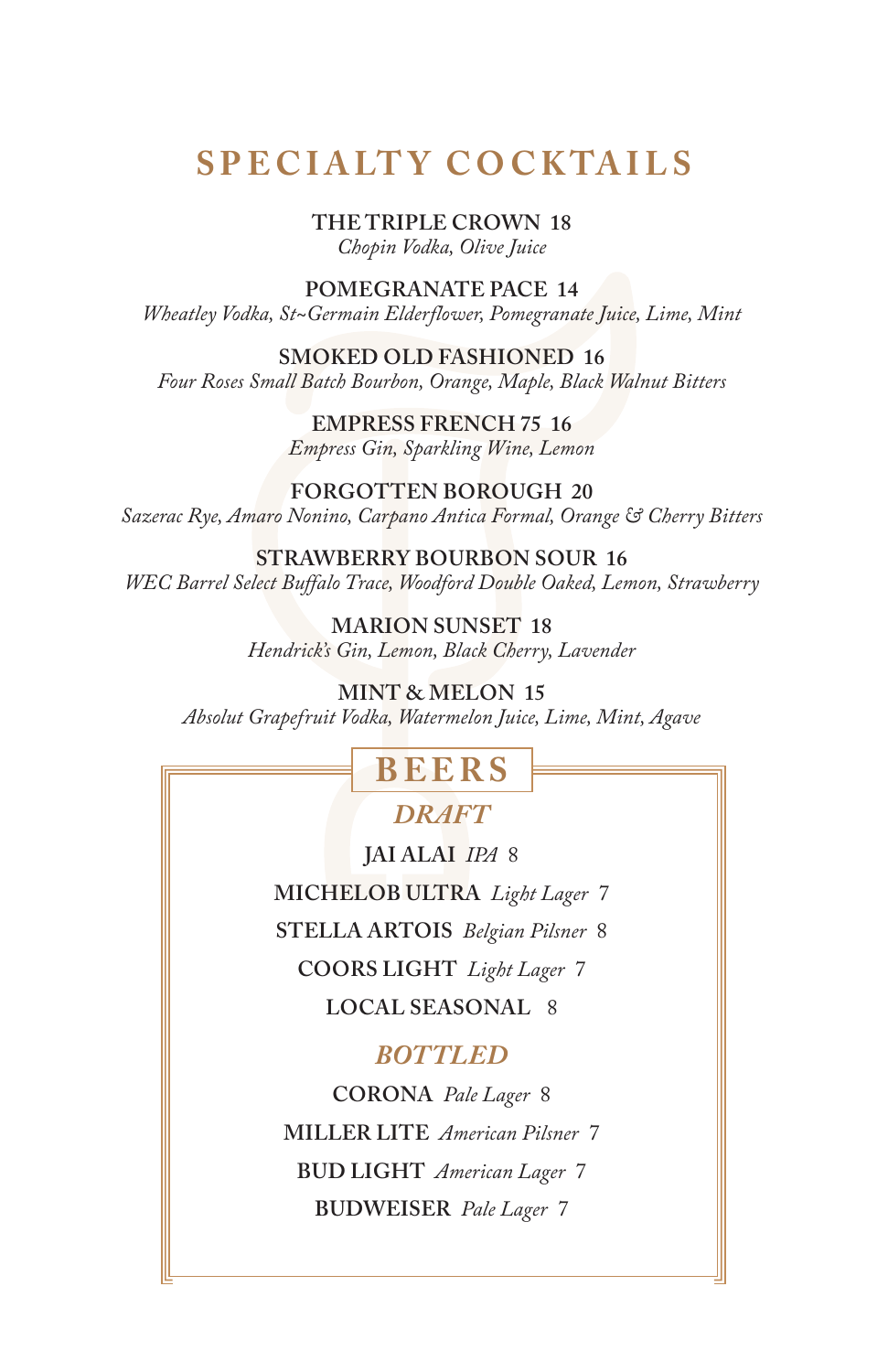## **S P E C I A LT Y C O C K TA I L S**

**THE TRIPLE CROWN 18**

*Chopin Vodka, Olive Juice*

**POMEGRANATE PACE 14**

*Wheatley Vodka, St~Germain Elderflower, Pomegranate Juice, Lime, Mint*

**SMOKED OLD FASHIONED 16**

*Four Roses Small Batch Bourbon, Orange, Maple, Black Walnut Bitters*

**EMPRESS FRENCH 75 16** *Empress Gin, Sparkling Wine, Lemon*

**FORGOTTEN BOROUGH 20** *Sazerac Rye, Amaro Nonino, Carpano Antica Formal, Orange & Cherry Bitters*

**STRAWBERRY BOURBON SOUR 16** *WEC Barrel Select Buffalo Trace, Woodford Double Oaked, Lemon, Strawberry*

> **MARION SUNSET 18** *Hendrick's Gin, Lemon, Black Cherry, Lavender*

**MINT & MELON 15** *Absolut Grapefruit Vodka, Watermelon Juice, Lime, Mint, Agave*

## **BEERS**

*DRAFT*

**JAI ALAI** *IPA* 8 **MICHELOB ULTRA** *Light Lager* 7 **STELLA ARTOIS** *Belgian Pilsner* 8 **COORS LIGHT** *Light Lager* 7 **LOCAL SEASONAL** 8

#### *BOTTLED*

**CORONA** *Pale Lager* 8 **MILLER LITE** *American Pilsner* 7 **BUD LIGHT** *American Lager* 7 **BUDWEISER** *Pale Lager* 7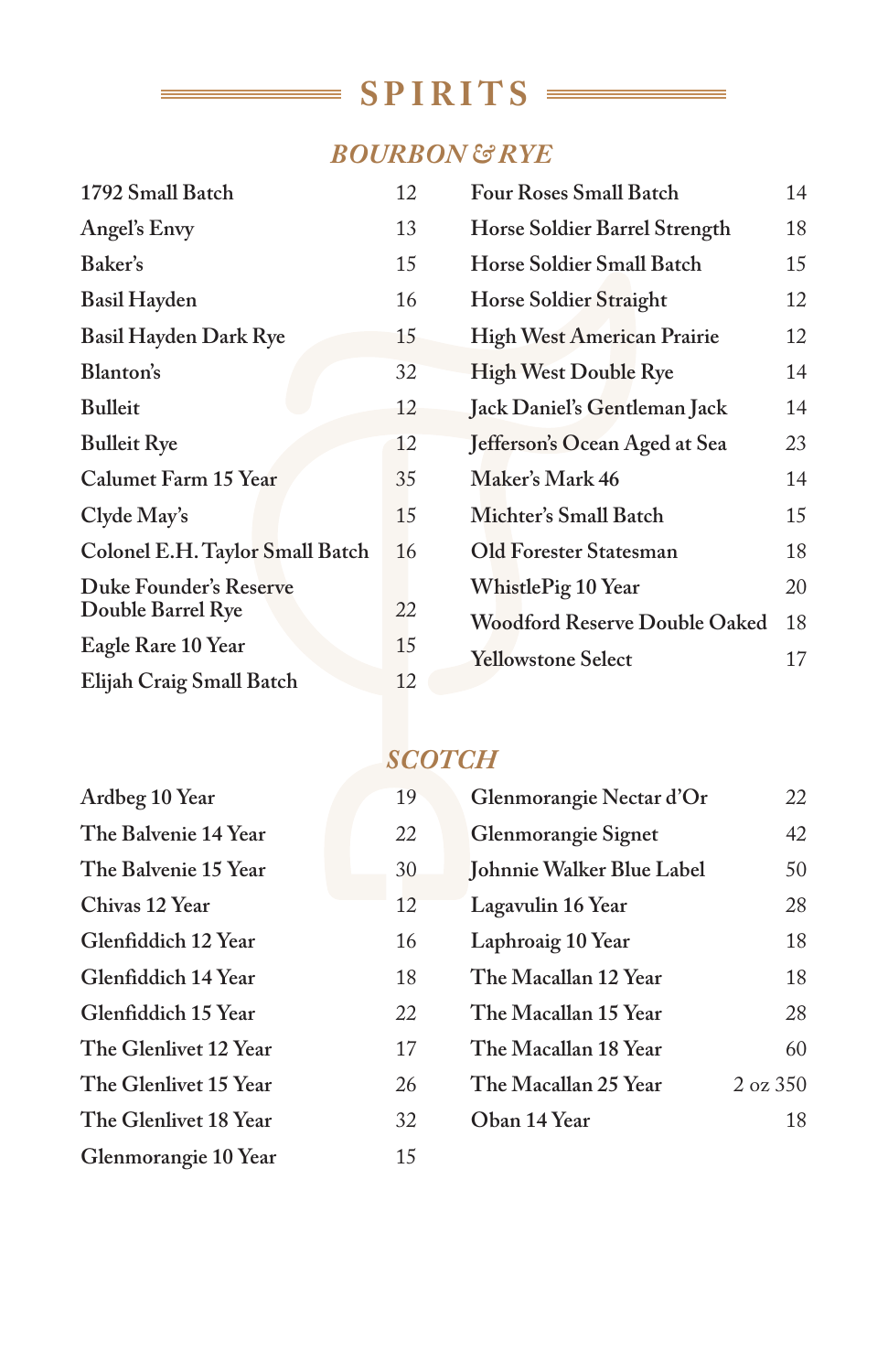# $SPIRITS$

÷.

### *BOURBON & RYE*

| 1792 Small Batch                |  | 12 | <b>Four Roses Small Batch</b>        | 14 |
|---------------------------------|--|----|--------------------------------------|----|
| Angel's Envy                    |  | 13 | Horse Soldier Barrel Strength        | 18 |
| Baker's                         |  | 15 | Horse Soldier Small Batch            | 15 |
| <b>Basil Hayden</b>             |  | 16 | <b>Horse Soldier Straight</b>        | 12 |
| Basil Hayden Dark Rye           |  | 15 | <b>High West American Prairie</b>    | 12 |
| Blanton's                       |  | 32 | <b>High West Double Rye</b>          | 14 |
| <b>Bulleit</b>                  |  | 12 | Jack Daniel's Gentleman Jack         | 14 |
| <b>Bulleit Rye</b>              |  | 12 | Jefferson's Ocean Aged at Sea        | 23 |
| Calumet Farm 15 Year            |  | 35 | Maker's Mark 46                      | 14 |
| Clyde May's                     |  | 15 | Michter's Small Batch                | 15 |
| Colonel E.H. Taylor Small Batch |  | 16 | Old Forester Statesman               | 18 |
| Duke Founder's Reserve          |  |    | WhistlePig 10 Year                   | 20 |
| Double Barrel Rye               |  | 22 | <b>Woodford Reserve Double Oaked</b> | 18 |
| Eagle Rare 10 Year              |  | 15 | <b>Yellowstone Select</b>            | 17 |
| Elijah Craig Small Batch        |  | 12 |                                      |    |

### *SCOTCH*

| Ardbeg 10 Year        | 19 |
|-----------------------|----|
| The Balvenie 14 Year  | 22 |
| The Balvenie 15 Year  | 30 |
| Chivas 12 Year        | 12 |
| Glenfiddich 12 Year   | 16 |
| Glenfiddich 14 Year   | 18 |
| Glenfiddich 15 Year   | 22 |
| The Glenlivet 12 Year | 17 |
| The Glenlivet 15 Year | 26 |
| The Glenlivet 18 Year | 32 |
| Glenmorangie 10 Year  | 15 |

Ξ

| 9 | Glenmorangie Nectar d'Or  | 22             |
|---|---------------------------|----------------|
| 2 | Glenmorangie Signet       | 42             |
| 0 | Johnnie Walker Blue Label | 50             |
| 2 | Lagavulin 16 Year         | 28             |
| 6 | Laphroaig 10 Year         | 18             |
| 8 | The Macallan 12 Year      | 18             |
| 2 | The Macallan 15 Year      | 28             |
| 7 | The Macallan 18 Year      | 60             |
| 6 | The Macallan 25 Year      | $2 \times 350$ |
| 2 | Oban 14 Year              | 18             |
|   |                           |                |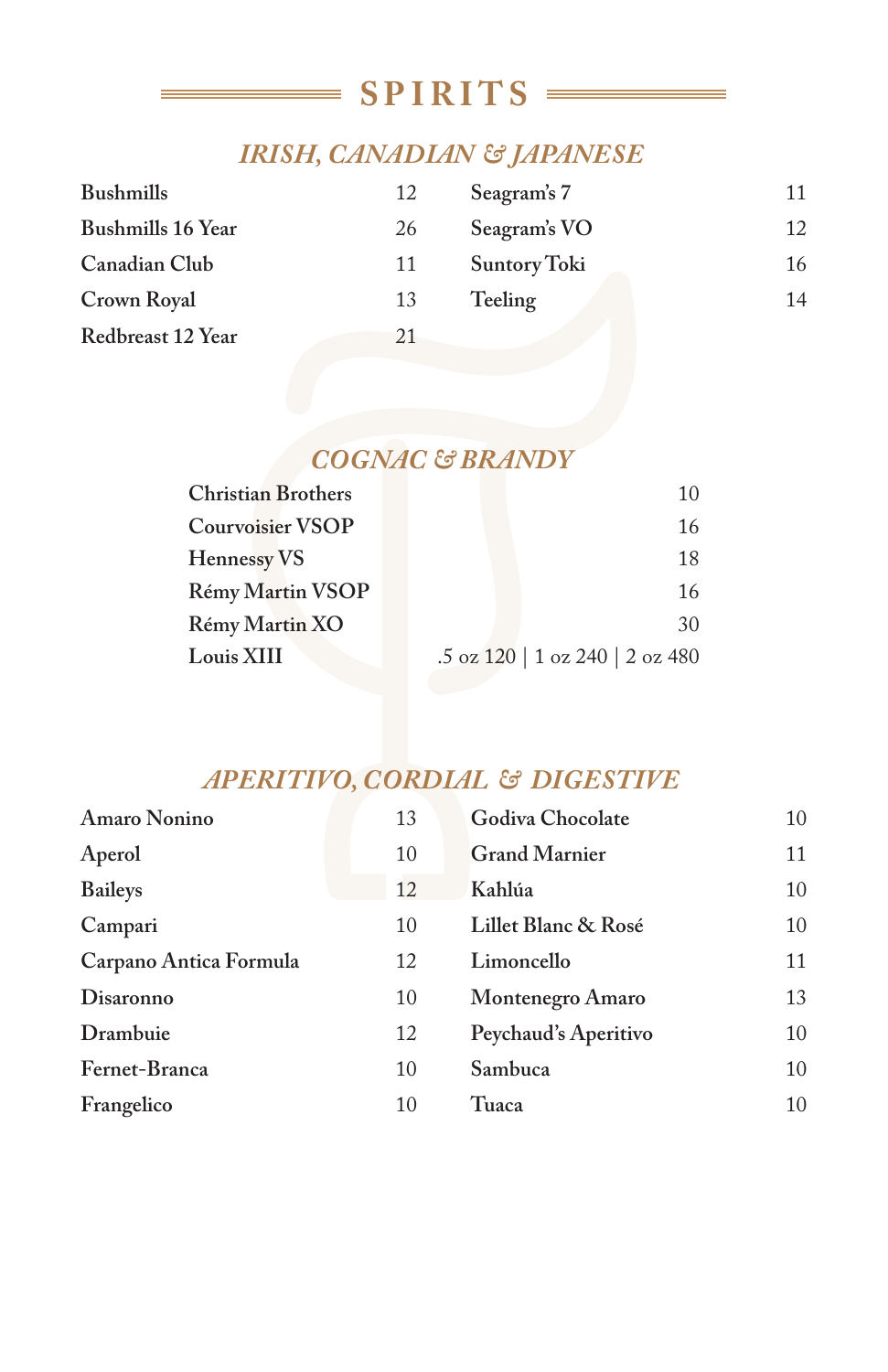### **SPIRITS**

### *IRISH, CANADIAN & JAPANESE*

| <b>Bushmills</b>         | 12 | Seagram's 7  | 11 |
|--------------------------|----|--------------|----|
| <b>Bushmills 16 Year</b> | 26 | Seagram's VO | 12 |
| Canadian Club            | 11 | Suntory Toki | 16 |
| Crown Royal              | 13 | Teeling      | 14 |
| Redbreast 12 Year        | 21 |              |    |

### *COGNAC & BRANDY*

| <b>Christian Brothers</b> | 10                              |
|---------------------------|---------------------------------|
| <b>Courvoisier VSOP</b>   | 16                              |
| Hennessy VS               | 18                              |
| Rémy Martin VSOP          | 16                              |
| Rémy Martin XO            | 30                              |
| Louis XIII                | .5 oz 120   1 oz 240   2 oz 480 |
|                           |                                 |

### *APERITIVO, CORDIAL & DIGESTIVE*

| <b>Amaro Nonino</b>    | 13 | Godiva Chocolate     | 10 |
|------------------------|----|----------------------|----|
| Aperol                 | 10 | <b>Grand Marnier</b> | 11 |
| <b>Baileys</b>         | 12 | Kahlúa               | 10 |
| Campari                | 10 | Lillet Blanc & Rosé  | 10 |
| Carpano Antica Formula | 12 | Limoncello           | 11 |
| Disaronno              | 10 | Montenegro Amaro     | 13 |
| Drambuie               | 12 | Peychaud's Aperitivo | 10 |
| Fernet-Branca          | 10 | Sambuca              | 10 |
| Frangelico             | 10 | Tuaca                | 10 |
|                        |    |                      |    |